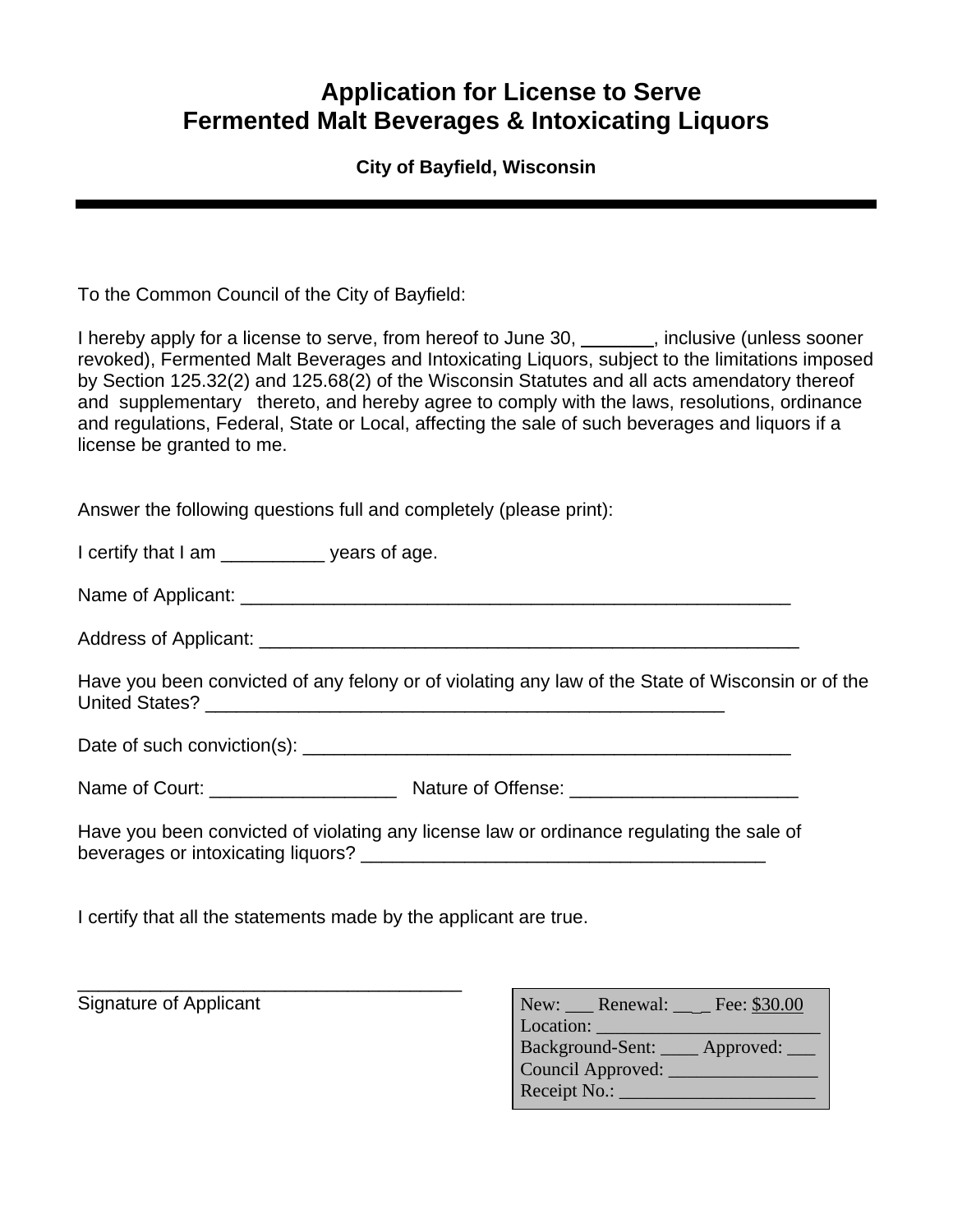## **Application for License to Serve Fermented Malt Beverages & Intoxicating Liquors**

## **City of Bayfield, Wisconsin**

To the Common Council of the City of Bayfield:

I hereby apply for a license to serve, from hereof to June 30, same nuclearies (unless sooner revoked), Fermented Malt Beverages and Intoxicating Liquors, subject to the limitations imposed by Section 125.32(2) and 125.68(2) of the Wisconsin Statutes and all acts amendatory thereof and supplementary thereto, and hereby agree to comply with the laws, resolutions, ordinance and regulations, Federal, State or Local, affecting the sale of such beverages and liquors if a license be granted to me.

Answer the following questions full and completely (please print):

I certify that I am **years of age.** 

Name of Applicant: \_\_\_\_\_\_\_\_\_\_\_\_\_\_\_\_\_\_\_\_\_\_\_\_\_\_\_\_\_\_\_\_\_\_\_\_\_\_\_\_\_\_\_\_\_\_\_\_\_\_\_\_\_

Address of Applicant: \_\_\_\_\_\_\_\_\_\_\_\_\_\_\_\_\_\_\_\_\_\_\_\_\_\_\_\_\_\_\_\_\_\_\_\_\_\_\_\_\_\_\_\_\_\_\_\_\_\_\_\_

Have you been convicted of any felony or of violating any law of the State of Wisconsin or of the United States?

Date of such conviction(s): \_\_\_\_\_\_\_\_\_\_\_\_\_\_\_\_\_\_\_\_\_\_\_\_\_\_\_\_\_\_\_\_\_\_\_\_\_\_\_\_\_\_\_\_\_\_\_

Name of Court: \_\_\_\_\_\_\_\_\_\_\_\_\_\_\_\_\_\_\_\_\_\_\_\_\_ Nature of Offense:

Have you been convicted of violating any license law or ordinance regulating the sale of beverages or intoxicating liquors? \_\_\_\_\_\_\_\_\_\_\_\_\_\_\_\_\_\_\_\_\_\_\_\_\_\_\_\_\_\_\_\_\_\_\_\_\_\_\_

I certify that all the statements made by the applicant are true.

\_\_\_\_\_\_\_\_\_\_\_\_\_\_\_\_\_\_\_\_\_\_\_\_\_\_\_\_\_\_\_\_\_\_\_\_\_

Signature of Applicant

| New: Renewal: $\_\_$ Fee: \$30.00 |
|-----------------------------------|
| Location:                         |
| Background-Sent:<br>Approved:     |
| Council Approved:                 |
| Receipt No.:                      |
|                                   |